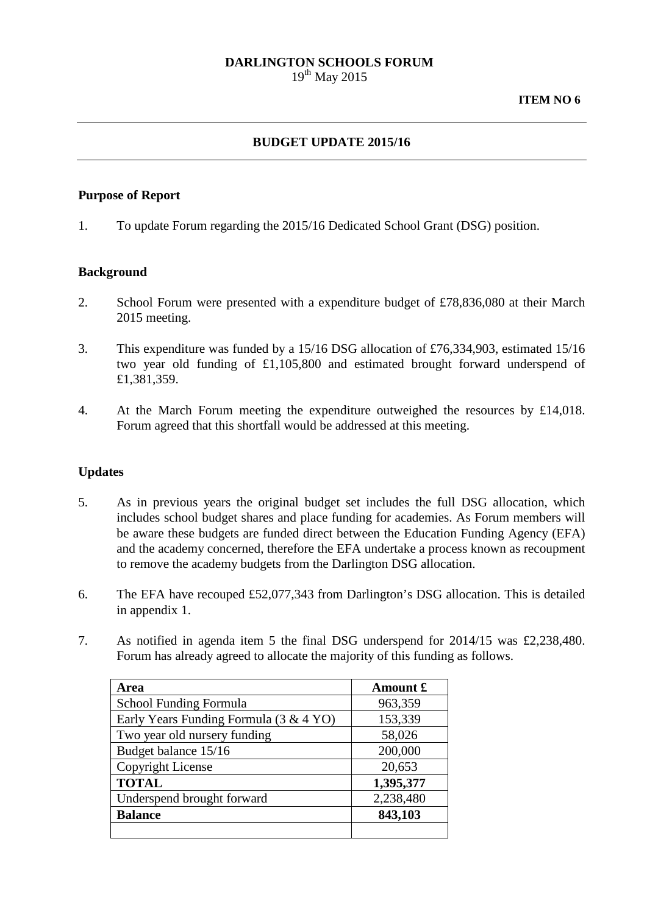# **DARLINGTON SCHOOLS FORUM**

 $19^{th}$  May 2015

## **BUDGET UPDATE 2015/16**

### **Purpose of Report**

1. To update Forum regarding the 2015/16 Dedicated School Grant (DSG) position.

### **Background**

- 2. School Forum were presented with a expenditure budget of £78,836,080 at their March 2015 meeting.
- 3. This expenditure was funded by a 15/16 DSG allocation of £76,334,903, estimated 15/16 two year old funding of £1,105,800 and estimated brought forward underspend of £1,381,359.
- 4. At the March Forum meeting the expenditure outweighed the resources by £14,018. Forum agreed that this shortfall would be addressed at this meeting.

### **Updates**

- 5. As in previous years the original budget set includes the full DSG allocation, which includes school budget shares and place funding for academies. As Forum members will be aware these budgets are funded direct between the Education Funding Agency (EFA) and the academy concerned, therefore the EFA undertake a process known as recoupment to remove the academy budgets from the Darlington DSG allocation.
- 6. The EFA have recouped £52,077,343 from Darlington's DSG allocation. This is detailed in appendix 1.
- 7. As notified in agenda item 5 the final DSG underspend for 2014/15 was £2,238,480. Forum has already agreed to allocate the majority of this funding as follows.

| Area                                   | Amount £  |
|----------------------------------------|-----------|
| School Funding Formula                 | 963,359   |
| Early Years Funding Formula (3 & 4 YO) | 153,339   |
| Two year old nursery funding           | 58,026    |
| Budget balance 15/16                   | 200,000   |
| Copyright License                      | 20,653    |
| <b>TOTAL</b>                           | 1,395,377 |
| Underspend brought forward             | 2,238,480 |
| <b>Balance</b>                         | 843,103   |
|                                        |           |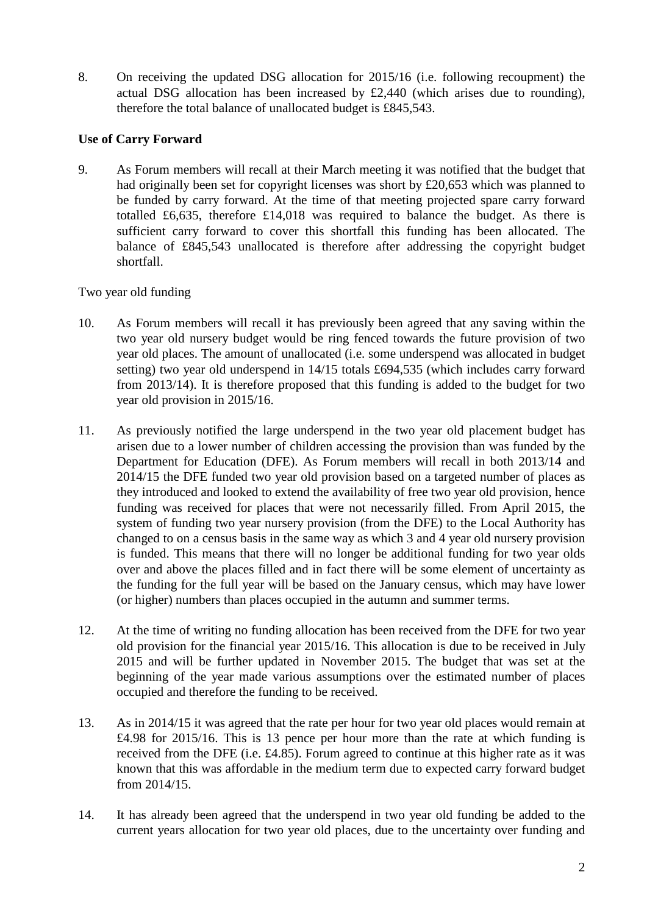8. On receiving the updated DSG allocation for 2015/16 (i.e. following recoupment) the actual DSG allocation has been increased by £2,440 (which arises due to rounding), therefore the total balance of unallocated budget is £845,543.

## **Use of Carry Forward**

9. As Forum members will recall at their March meeting it was notified that the budget that had originally been set for copyright licenses was short by £20,653 which was planned to be funded by carry forward. At the time of that meeting projected spare carry forward totalled £6,635, therefore £14,018 was required to balance the budget. As there is sufficient carry forward to cover this shortfall this funding has been allocated. The balance of £845,543 unallocated is therefore after addressing the copyright budget shortfall.

# Two year old funding

- 10. As Forum members will recall it has previously been agreed that any saving within the two year old nursery budget would be ring fenced towards the future provision of two year old places. The amount of unallocated (i.e. some underspend was allocated in budget setting) two year old underspend in 14/15 totals £694,535 (which includes carry forward from 2013/14). It is therefore proposed that this funding is added to the budget for two year old provision in 2015/16.
- 11. As previously notified the large underspend in the two year old placement budget has arisen due to a lower number of children accessing the provision than was funded by the Department for Education (DFE). As Forum members will recall in both 2013/14 and 2014/15 the DFE funded two year old provision based on a targeted number of places as they introduced and looked to extend the availability of free two year old provision, hence funding was received for places that were not necessarily filled. From April 2015, the system of funding two year nursery provision (from the DFE) to the Local Authority has changed to on a census basis in the same way as which 3 and 4 year old nursery provision is funded. This means that there will no longer be additional funding for two year olds over and above the places filled and in fact there will be some element of uncertainty as the funding for the full year will be based on the January census, which may have lower (or higher) numbers than places occupied in the autumn and summer terms.
- 12. At the time of writing no funding allocation has been received from the DFE for two year old provision for the financial year 2015/16. This allocation is due to be received in July 2015 and will be further updated in November 2015. The budget that was set at the beginning of the year made various assumptions over the estimated number of places occupied and therefore the funding to be received.
- 13. As in 2014/15 it was agreed that the rate per hour for two year old places would remain at £4.98 for 2015/16. This is 13 pence per hour more than the rate at which funding is received from the DFE (i.e. £4.85). Forum agreed to continue at this higher rate as it was known that this was affordable in the medium term due to expected carry forward budget from 2014/15.
- 14. It has already been agreed that the underspend in two year old funding be added to the current years allocation for two year old places, due to the uncertainty over funding and